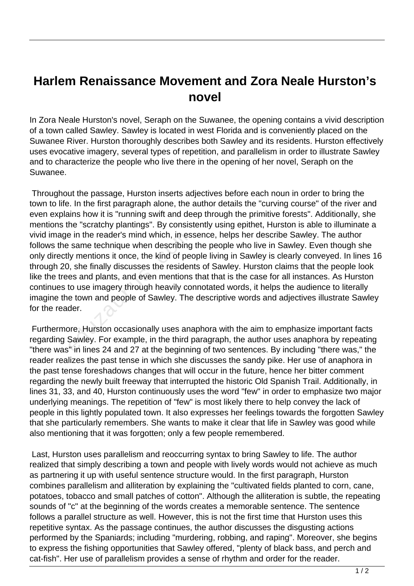## **Harlem Renaissance Movement and Zora Neale Hurston's novel**

In Zora Neale Hurston's novel, Seraph on the Suwanee, the opening contains a vivid description of a town called Sawley. Sawley is located in west Florida and is conveniently placed on the Suwanee River. Hurston thoroughly describes both Sawley and its residents. Hurston effectively uses evocative imagery, several types of repetition, and parallelism in order to illustrate Sawley and to characterize the people who live there in the opening of her novel, Seraph on the Suwanee.

 Throughout the passage, Hurston inserts adjectives before each noun in order to bring the town to life. In the first paragraph alone, the author details the "curving course" of the river and even explains how it is "running swift and deep through the primitive forests". Additionally, she mentions the "scratchy plantings". By consistently using epithet, Hurston is able to illuminate a vivid image in the reader's mind which, in essence, helps her describe Sawley. The author follows the same technique when describing the people who live in Sawley. Even though she only directly mentions it once, the kind of people living in Sawley is clearly conveyed. In lines 16 through 20, she finally discusses the residents of Sawley. Hurston claims that the people look like the trees and plants, and even mentions that that is the case for all instances. As Hurston continues to use imagery through heavily connotated words, it helps the audience to literally imagine the town and people of Sawley. The descriptive words and adjectives illustrate Sawley for the reader. e in the reader's mind which, in es<br>
is ame technique when describing<br>
ly mentions it once, the kind of pelon,<br>
she finally discusses the resider<br>
es and plants, and even mentions<br>
to use imagery through heavily co<br>
e town

 Furthermore, Hurston occasionally uses anaphora with the aim to emphasize important facts regarding Sawley. For example, in the third paragraph, the author uses anaphora by repeating "there was" in lines 24 and 27 at the beginning of two sentences. By including "there was," the reader realizes the past tense in which she discusses the sandy pike. Her use of anaphora in the past tense foreshadows changes that will occur in the future, hence her bitter comment regarding the newly built freeway that interrupted the historic Old Spanish Trail. Additionally, in lines 31, 33, and 40, Hurston continuously uses the word "few" in order to emphasize two major underlying meanings. The repetition of "few" is most likely there to help convey the lack of people in this lightly populated town. It also expresses her feelings towards the forgotten Sawley that she particularly remembers. She wants to make it clear that life in Sawley was good while also mentioning that it was forgotten; only a few people remembered.

 Last, Hurston uses parallelism and reoccurring syntax to bring Sawley to life. The author realized that simply describing a town and people with lively words would not achieve as much as partnering it up with useful sentence structure would. In the first paragraph, Hurston combines parallelism and alliteration by explaining the "cultivated fields planted to corn, cane, potatoes, tobacco and small patches of cotton". Although the alliteration is subtle, the repeating sounds of "c" at the beginning of the words creates a memorable sentence. The sentence follows a parallel structure as well. However, this is not the first time that Hurston uses this repetitive syntax. As the passage continues, the author discusses the disgusting actions performed by the Spaniards; including "murdering, robbing, and raping". Moreover, she begins to express the fishing opportunities that Sawley offered, "plenty of black bass, and perch and cat-fish". Her use of parallelism provides a sense of rhythm and order for the reader.